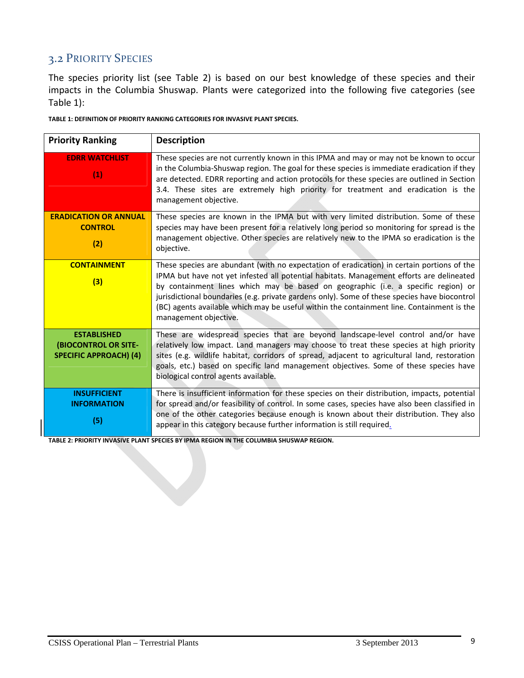## 3.2 PRIORITY SPECIES

The species priority list (see Table 2) is based on our best knowledge of these species and their impacts in the Columbia Shuswap. Plants were categorized into the following five categories (see Table 1):

|  | TABLE 1: DEFINITION OF PRIORITY RANKING CATEGORIES FOR INVASIVE PLANT SPECIES. |  |
|--|--------------------------------------------------------------------------------|--|
|--|--------------------------------------------------------------------------------|--|

| <b>Priority Ranking</b>                                                            | <b>Description</b>                                                                                                                                                                                                                                                                                                                                                                                                                                                                                |
|------------------------------------------------------------------------------------|---------------------------------------------------------------------------------------------------------------------------------------------------------------------------------------------------------------------------------------------------------------------------------------------------------------------------------------------------------------------------------------------------------------------------------------------------------------------------------------------------|
| <b>EDRR WATCHLIST</b><br>(1)                                                       | These species are not currently known in this IPMA and may or may not be known to occur<br>in the Columbia-Shuswap region. The goal for these species is immediate eradication if they<br>are detected. EDRR reporting and action protocols for these species are outlined in Section<br>3.4. These sites are extremely high priority for treatment and eradication is the<br>management objective.                                                                                               |
| <b>ERADICATION OR ANNUAL</b><br><b>CONTROL</b><br>(2)                              | These species are known in the IPMA but with very limited distribution. Some of these<br>species may have been present for a relatively long period so monitoring for spread is the<br>management objective. Other species are relatively new to the IPMA so eradication is the<br>objective.                                                                                                                                                                                                     |
| <b>CONTAINMENT</b><br>(3)                                                          | These species are abundant (with no expectation of eradication) in certain portions of the<br>IPMA but have not yet infested all potential habitats. Management efforts are delineated<br>by containment lines which may be based on geographic (i.e. a specific region) or<br>jurisdictional boundaries (e.g. private gardens only). Some of these species have biocontrol<br>(BC) agents available which may be useful within the containment line. Containment is the<br>management objective. |
| <b>ESTABLISHED</b><br><b>(BIOCONTROL OR SITE-</b><br><b>SPECIFIC APPROACH) (4)</b> | These are widespread species that are beyond landscape-level control and/or have<br>relatively low impact. Land managers may choose to treat these species at high priority<br>sites (e.g. wildlife habitat, corridors of spread, adjacent to agricultural land, restoration<br>goals, etc.) based on specific land management objectives. Some of these species have<br>biological control agents available.                                                                                     |
| <b>INSUFFICIENT</b><br><b>INFORMATION</b><br>(5)                                   | There is insufficient information for these species on their distribution, impacts, potential<br>for spread and/or feasibility of control. In some cases, species have also been classified in<br>one of the other categories because enough is known about their distribution. They also<br>appear in this category because further information is still required.                                                                                                                               |

**TABLE 2: PRIORITY INVASIVE PLANT SPECIES BY IPMA REGION IN THE COLUMBIA SHUSWAP REGION.**

the contract of the contract of the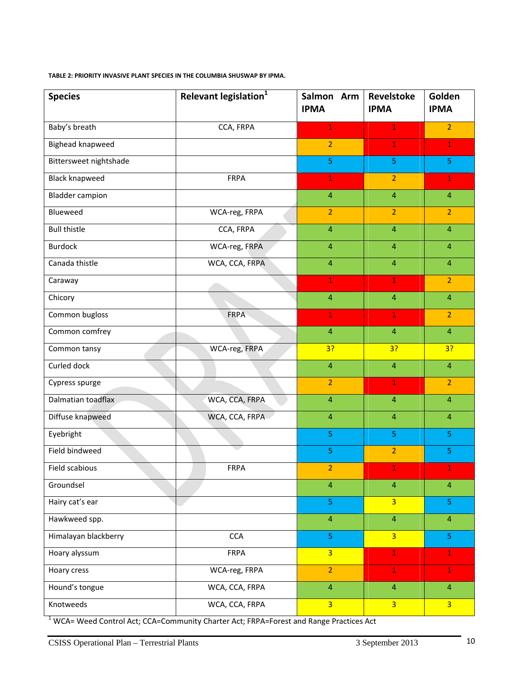**TABLE 2: PRIORITY INVASIVE PLANT SPECIES IN THE COLUMBIA SHUSWAP BY IPMA.**

| <b>Species</b>         | Relevant legislation <sup>1</sup> | Salmon Arm<br><b>IPMA</b> | Revelstoke<br><b>IPMA</b> | Golden<br><b>IPMA</b> |
|------------------------|-----------------------------------|---------------------------|---------------------------|-----------------------|
| Baby's breath          | CCA, FRPA                         | $\mathbf{1}$              | $\mathbf{1}$              | $\overline{2}$        |
| Bighead knapweed       |                                   | $\overline{2}$            | $\mathbf{1}$              | $\mathbf{1}$          |
| Bittersweet nightshade |                                   | $\overline{5}$            | 5                         | 5                     |
| <b>Black knapweed</b>  | <b>FRPA</b>                       | $\mathbf{1}$              | $\overline{2}$            | $\mathbf{1}$          |
| <b>Bladder campion</b> |                                   | $\overline{4}$            | $\overline{4}$            | $\overline{4}$        |
| Blueweed               | WCA-reg, FRPA                     | $\overline{2}$            | $\overline{2}$            | $\overline{2}$        |
| <b>Bull thistle</b>    | CCA, FRPA                         | $\overline{4}$            | $\overline{4}$            | $\overline{4}$        |
| <b>Burdock</b>         | WCA-reg, FRPA                     | $\overline{4}$            | $\overline{4}$            | $\overline{4}$        |
| Canada thistle         | WCA, CCA, FRPA                    | $\overline{4}$            | $\overline{4}$            | $\overline{4}$        |
| Caraway                |                                   | $\mathbf{1}$              | $\mathbf{1}$              | $\overline{2}$        |
| Chicory                |                                   | $\overline{4}$            | $\overline{4}$            | $\overline{4}$        |
| Common bugloss         | <b>FRPA</b>                       | $\mathbf{1}$              | $\mathbf 1$               | $\overline{2}$        |
| Common comfrey         |                                   | $\overline{4}$            | $\overline{4}$            | $\overline{4}$        |
| Common tansy           | WCA-reg, FRPA                     | 3?                        | 3?                        | 3?                    |
| Curled dock            |                                   | $\overline{4}$            | $\overline{4}$            | $\overline{4}$        |
| Cypress spurge         |                                   | $\overline{2}$            | $\mathbf{1}$              | $\overline{2}$        |
| Dalmatian toadflax     | WCA, CCA, FRPA                    | $\overline{4}$            | $\overline{4}$            | $\overline{4}$        |
| Diffuse knapweed       | WCA, CCA, FRPA                    | $\overline{4}$            | $\overline{4}$            | $\overline{4}$        |
| Eyebright              |                                   | $\overline{5}$            | 5                         | 5                     |
| Field bindweed         |                                   | 5                         | $\overline{2}$            | 5                     |
| Field scabious         | <b>FRPA</b>                       | $\overline{2}$            | 1                         | 1                     |
| Groundsel              |                                   | $\overline{4}$            | $\overline{4}$            | $\overline{4}$        |
| Hairy cat's ear        |                                   | $\overline{5}$            | $\overline{3}$            | 5 <sub>5</sub>        |
| Hawkweed spp.          |                                   | $\overline{4}$            | $\overline{4}$            | $\overline{4}$        |
| Himalayan blackberry   | CCA                               | $\overline{5}$            | $\overline{3}$            | $\overline{5}$        |
| Hoary alyssum          | <b>FRPA</b>                       | $\overline{3}$            | $\mathbf 1$               | $\mathbf{1}$          |
| Hoary cress            | WCA-reg, FRPA                     | $\overline{2}$            | $\mathbf{1}$              | $\mathbf{1}$          |
| Hound's tongue         | WCA, CCA, FRPA                    | $\overline{4}$            | $\overline{4}$            | $\overline{4}$        |
| Knotweeds              | WCA, CCA, FRPA                    | $\overline{3}$            | $\overline{3}$            | $\overline{3}$        |

<sup>1</sup> WCA= Weed Control Act; CCA=Community Charter Act; FRPA=Forest and Range Practices Act